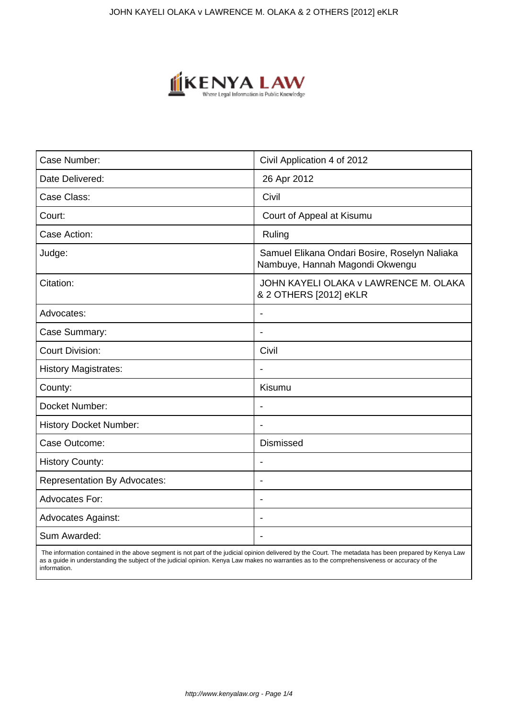

| Case Number:                        | Civil Application 4 of 2012                                                      |
|-------------------------------------|----------------------------------------------------------------------------------|
| Date Delivered:                     | 26 Apr 2012                                                                      |
| Case Class:                         | Civil                                                                            |
| Court:                              | Court of Appeal at Kisumu                                                        |
| Case Action:                        | Ruling                                                                           |
| Judge:                              | Samuel Elikana Ondari Bosire, Roselyn Naliaka<br>Nambuye, Hannah Magondi Okwengu |
| Citation:                           | JOHN KAYELI OLAKA v LAWRENCE M. OLAKA<br>& 2 OTHERS [2012] eKLR                  |
| Advocates:                          | $\overline{\phantom{a}}$                                                         |
| Case Summary:                       | $\blacksquare$                                                                   |
| <b>Court Division:</b>              | Civil                                                                            |
| <b>History Magistrates:</b>         |                                                                                  |
| County:                             | Kisumu                                                                           |
| Docket Number:                      | $\overline{\phantom{a}}$                                                         |
| <b>History Docket Number:</b>       | $\blacksquare$                                                                   |
| Case Outcome:                       | <b>Dismissed</b>                                                                 |
| <b>History County:</b>              |                                                                                  |
| <b>Representation By Advocates:</b> | $\blacksquare$                                                                   |
| Advocates For:                      | $\overline{\phantom{0}}$                                                         |
| <b>Advocates Against:</b>           |                                                                                  |
| Sum Awarded:                        |                                                                                  |

 The information contained in the above segment is not part of the judicial opinion delivered by the Court. The metadata has been prepared by Kenya Law as a guide in understanding the subject of the judicial opinion. Kenya Law makes no warranties as to the comprehensiveness or accuracy of the information.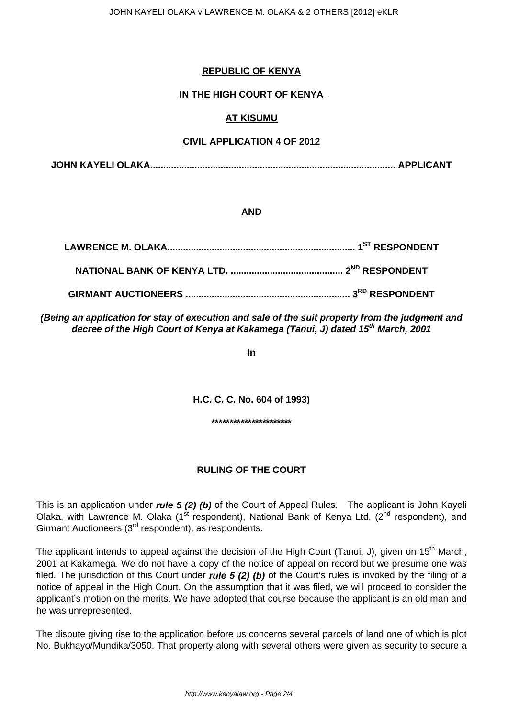## **REPUBLIC OF KENYA**

# **IN THE HIGH COURT OF KENYA**

# **AT KISUMU**

## **CIVIL APPLICATION 4 OF 2012**

**JOHN KAYELI OLAKA.............................................................................................. APPLICANT**

## **AND**

**(Being an application for stay of execution and sale of the suit property from the judgment and decree of the High Court of Kenya at Kakamega (Tanui, J) dated 15th March, 2001**

**In**

**H.C. C. C. No. 604 of 1993)**

**\*\*\*\*\*\*\*\*\*\*\*\*\*\*\*\*\*\*\*\*\*\***

# **RULING OF THE COURT**

This is an application under **rule 5 (2) (b)** of the Court of Appeal Rules. The applicant is John Kayeli Olaka, with Lawrence M. Olaka (1<sup>st</sup> respondent), National Bank of Kenya Ltd. (2<sup>nd</sup> respondent), and Girmant Auctioneers (3<sup>rd</sup> respondent), as respondents.

The applicant intends to appeal against the decision of the High Court (Tanui, J), given on 15<sup>th</sup> March, 2001 at Kakamega. We do not have a copy of the notice of appeal on record but we presume one was filed. The jurisdiction of this Court under **rule 5 (2) (b)** of the Court's rules is invoked by the filing of a notice of appeal in the High Court. On the assumption that it was filed, we will proceed to consider the applicant's motion on the merits. We have adopted that course because the applicant is an old man and he was unrepresented.

The dispute giving rise to the application before us concerns several parcels of land one of which is plot No. Bukhayo/Mundika/3050. That property along with several others were given as security to secure a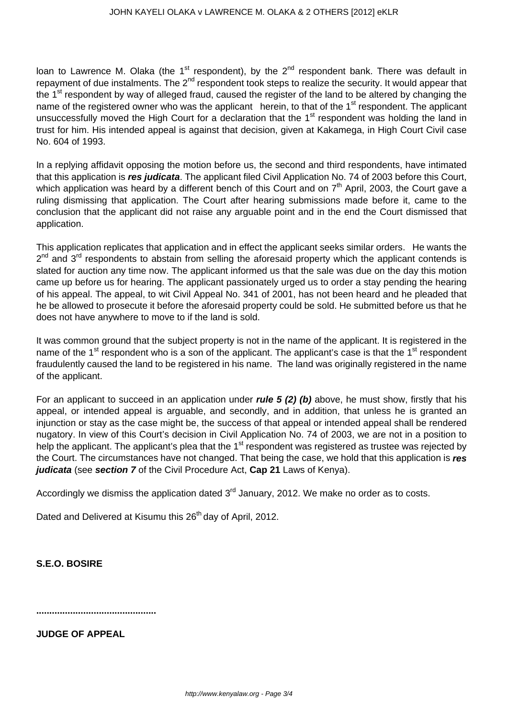loan to Lawrence M. Olaka (the 1<sup>st</sup> respondent), by the  $2^{nd}$  respondent bank. There was default in repayment of due instalments. The 2<sup>nd</sup> respondent took steps to realize the security. It would appear that the 1<sup>st</sup> respondent by way of alleged fraud, caused the register of the land to be altered by changing the name of the registered owner who was the applicant herein, to that of the 1<sup>st</sup> respondent. The applicant unsuccessfully moved the High Court for a declaration that the 1<sup>st</sup> respondent was holding the land in trust for him. His intended appeal is against that decision, given at Kakamega, in High Court Civil case No. 604 of 1993.

In a replying affidavit opposing the motion before us, the second and third respondents, have intimated that this application is **res judicata**. The applicant filed Civil Application No. 74 of 2003 before this Court, which application was heard by a different bench of this Court and on  $7<sup>th</sup>$  April, 2003, the Court gave a ruling dismissing that application. The Court after hearing submissions made before it, came to the conclusion that the applicant did not raise any arguable point and in the end the Court dismissed that application.

This application replicates that application and in effect the applicant seeks similar orders. He wants the 2<sup>nd</sup> and 3<sup>rd</sup> respondents to abstain from selling the aforesaid property which the applicant contends is slated for auction any time now. The applicant informed us that the sale was due on the day this motion came up before us for hearing. The applicant passionately urged us to order a stay pending the hearing of his appeal. The appeal, to wit Civil Appeal No. 341 of 2001, has not been heard and he pleaded that he be allowed to prosecute it before the aforesaid property could be sold. He submitted before us that he does not have anywhere to move to if the land is sold.

It was common ground that the subject property is not in the name of the applicant. It is registered in the name of the 1<sup>st</sup> respondent who is a son of the applicant. The applicant's case is that the 1<sup>st</sup> respondent fraudulently caused the land to be registered in his name. The land was originally registered in the name of the applicant.

For an applicant to succeed in an application under **rule 5 (2) (b)** above, he must show, firstly that his appeal, or intended appeal is arguable, and secondly, and in addition, that unless he is granted an injunction or stay as the case might be, the success of that appeal or intended appeal shall be rendered nugatory. In view of this Court's decision in Civil Application No. 74 of 2003, we are not in a position to help the applicant. The applicant's plea that the 1<sup>st</sup> respondent was registered as trustee was rejected by the Court. The circumstances have not changed. That being the case, we hold that this application is **res judicata** (see **section 7** of the Civil Procedure Act, **Cap 21** Laws of Kenya).

Accordingly we dismiss the application dated  $3<sup>rd</sup>$  January, 2012. We make no order as to costs.

Dated and Delivered at Kisumu this 26<sup>th</sup> day of April, 2012.

**S.E.O. BOSIRE**

**..............................................**

**JUDGE OF APPEAL**